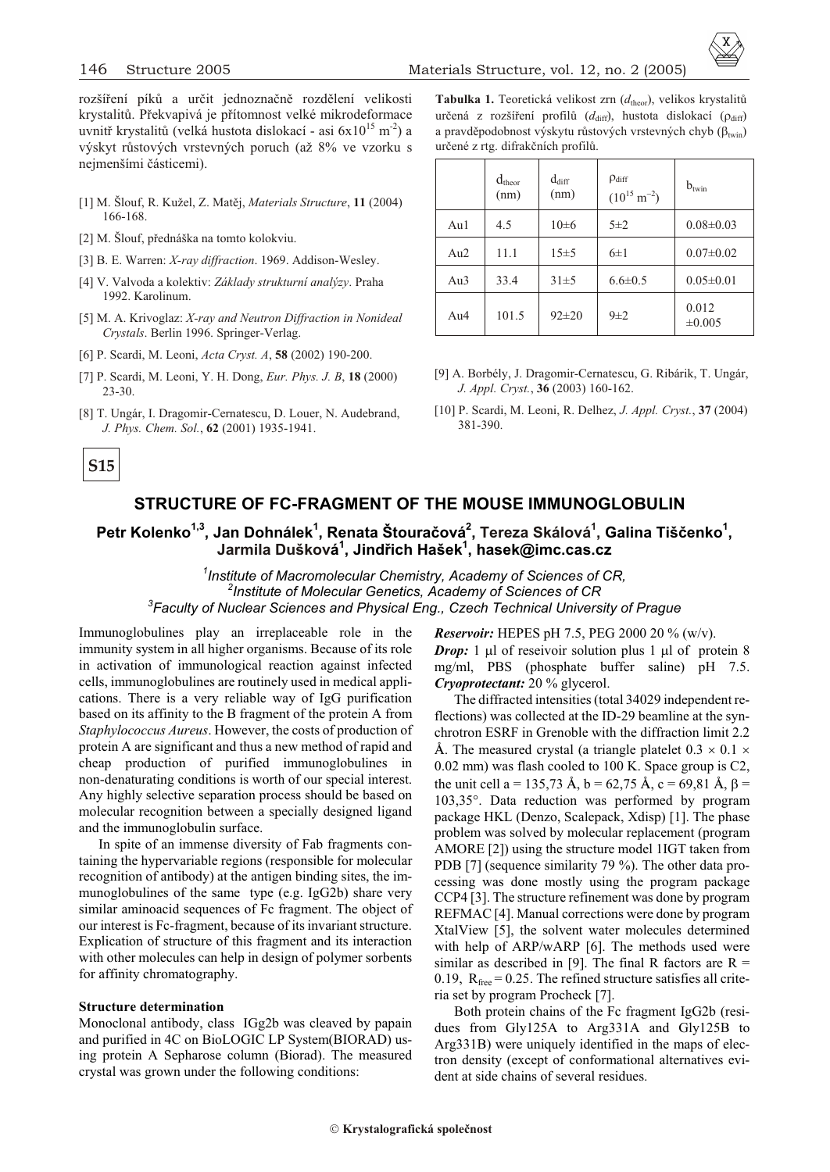

rozšíření píků a určit jednoznačně rozdělení velikosti krystalitů. Překvapivá je přítomnost velké mikrodeformace uvnitř krystalitů (velká hustota dislokací - asi  $6x10^{15}$  m<sup>-2</sup>) a výskyt rùstových vrstevných poruch (až 8% ve vzorku s nejmenšími èásticemi).

- [1] M. Šlouf, R. Kužel, Z. Matìj, *Ma te ri als Struc ture*, **11** (2004) 166-168.
- [2] M. Šlouf, přednáška na tomto kolokviu.
- [3] B. E. Warren: *X-ray diffraction*. 1969. Addison-Wesley.
- [4] V. Valvoda a kolektiv: *Základy strukturní analýzy*. Praha 1992. Karolinum.
- [5] M. A. Krivoglaz: *X-ray and Neutron Diffraction in Nonideal Crys tals*. Berlin 1996. Springer-Verlag.
- [6] P. Scardi, M. Leoni, *Acta Cryst. A*, **58** (2002) 190-200.
- [7] P. Scardi, M. Leoni, Y. H. Dong, *Eur. Phys. J. B*, **18** (2000) 23-30.
- [8] T. Ungár, I. Dragomir-Cernatescu, D. Louer, N. Audebrand, *J. Phys. Chem. Sol.*, **62** (2001) 1935-1941.

Tabulka 1. Teoretická velikost zrn ( $d_{\text{theor}}$ ), velikos krystalitů určená z rozšíření profilů (d<sub>diff</sub>), hustota dislokací ( <sub>diff</sub>) a pravděpodobnost výskytu růstových vrstevných chyb ( twin) urèené z rtg. difrakèních profilù.

|        | $d_{\text{theor}}$<br>(nm) | $d_{diff}$<br>(nm) | diff<br>(10)<br>m | $b_{\text{twin}}$    |
|--------|----------------------------|--------------------|-------------------|----------------------|
| Au1    | 4.5                        | $10\pm 6$          | $5\pm2$           | $0.08 \pm 0.03$      |
| Au2    | 11.1                       | $15 \pm 5$         | $6\pm1$           | $0.07 \pm 0.02$      |
| Au3    | 33.4                       | $31\pm5$           | $6.6 \pm 0.5$     | $0.05 \pm 0.01$      |
| Au $4$ | 101.5                      | $92 \pm 20$        | $9\pm2$           | 0.012<br>$\pm 0.005$ |

[9] A. Borbély, J. Dragomir-Cernatescu, G. Ribárik, T. Ungár, *J. Appl. Cryst.*, **36** (2003) 160-162.

# **STRUCTURE OF FC-FRAGMENT OF THE MOUSE IMMUNOGLOBULIN**

**Petr Kolenko1,3 , Jan Dohnálek<sup>1</sup> , Renata Štouraèová<sup>2</sup> , Tereza Skálová<sup>1</sup> , Galina Tišèenko<sup>1</sup> , Jarmila Dušková 1 , Jindøich Hašek<sup>1</sup> , hasek@imc.cas.cz**

<sup>1</sup> Institute of Macromolecular Chemistry, Academy of Sciences of CR, <sup>2</sup> Institute of Molecular Genetics, Academy of Sciences of CR  $^3$ Faculty of Nuclear Sciences and Physical Eng., Czech Technical University of Prague

Immunoglobulines play an irreplaceable role in the immunity system in all higher organisms. Because of its role in activation of immunological reaction against infected cells, immunoglobulines are routinely used in medical applications. There is a very reliable way of IgG purification based on its affinity to the B fragment of the protein A from *Staphylococcus Aureus*. However, the costs of production of protein A are significant and thus a new method of rapid and cheap production of purified immunoglobulines in non-denaturating conditions is worth of our special interest. Any highly selective separation process should be based on molecular recognition between a specially designed ligand and the immunoglobulin surface.

In spite of an immense diversity of Fab fragments containing the hypervariable regions (responsible for molecular recognition of antibody) at the antigen binding sites, the immuno globulines of the same type (e.g.  $I_{\text{g}}G2b$ ) share very similar aminoacid sequences of Fc fragment. The object of our interest is Fc-fragment, because of its invariant structure. Explication of structure of this fragment and its interaction with other molecules can help in design of polymer sorbents for affinity chromatography.

#### **Structure determination**

Monoclonal antibody, class IGg2b was cleaved by papain and purified in 4C on BioLOGIC LP System(BIORAD) using protein A Sepharose column (Biorad). The measured crystal was grown under the following conditions:

*Reservoir:* HEPES pH 7.5, PEG 2000 20 % (w/v).

*Drop:* 1 l of reseivoir solution plus 1 l of protein 8 mg/ml, PBS (phosphate buffer saline)  $pH$  7.5. *Cryoprotectant:* 20 % glycerol.

The diffracted intensities (total 34029 independent reflections) was collected at the ID-29 beamline at the synchrotron ESRF in Grenoble with the diffraction limit 2.2  $\AA$ . The measured crystal (a triangle platelet 0.3

0.02 mm) was flash cooled to 100 K. Space group is C2, the unit cell a = 135,73 Å, b = 62,75 Å, c = 69,81 Å, =  $103.35^{\circ}$ . Data reduction was performed by program pack age HKL (Denzo, Scalepack, Xdisp) [1]. The phase problem was solved by molecular replacement (program AMORE [2]) using the structure model 1IGT taken from PDB [7] (sequence similarity 79 %). The other data processing was done mostly using the program package CCP4 [3]. The structure refinement was done by program REFMAC [4]. Manual corrections were done by program XtalView [5], the solvent water molecules determined with help of  $ARP/wARP$  [6]. The methods used were similar as described in [9]. The final R factors are  $R =$ 0.19,  $R_{\text{free}} = 0.25$ . The refined structure satisfies all criteria set by program Procheck [7].

Both protein chains of the Fc fragment IgG2b (residues from Gly125A to Arg331A and Gly125B to Arg331B) were uniquely identified in the maps of electron density (except of conformational alternatives evident at side chains of several residues.

<sup>[10]</sup> P. Scardi, M. Leoni, R. Delhez, *J. Appl. Cryst.*, **37** (2004) 381-390.

**S15**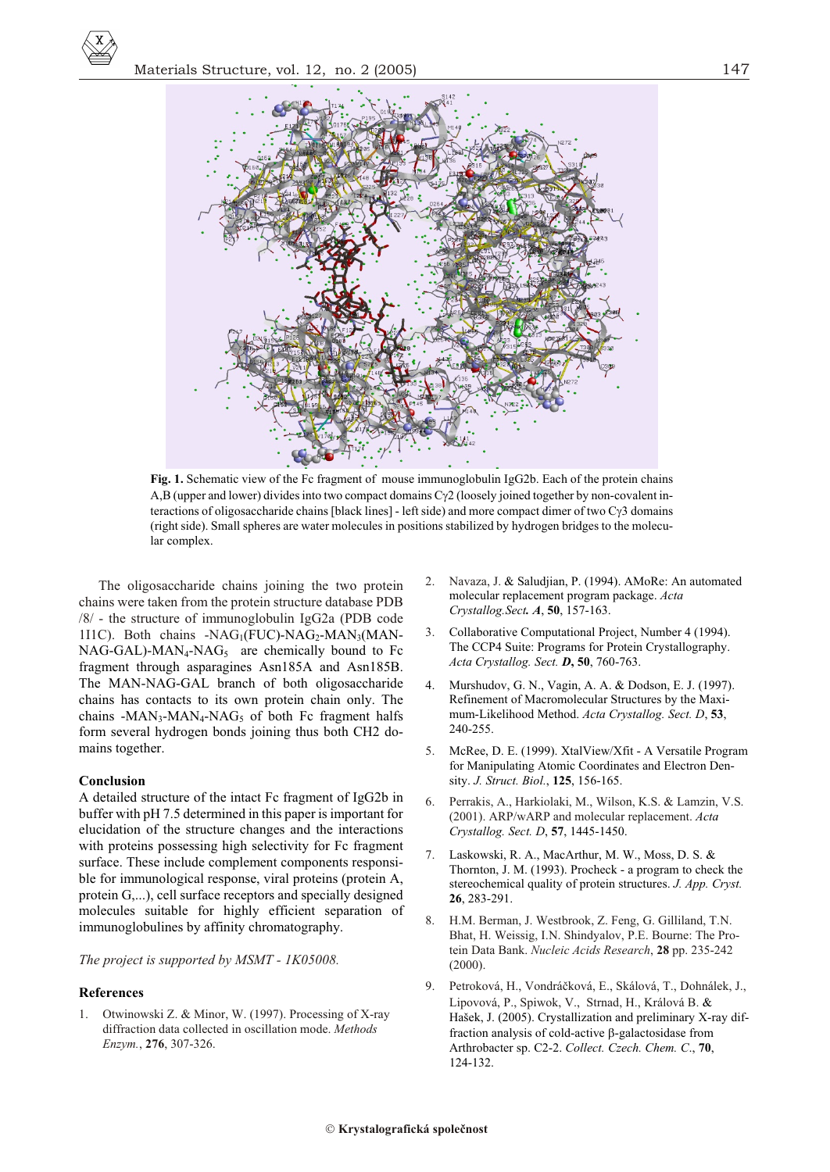

Fig. 1. Schematic view of the Fc fragment of mouse immunoglobulin IgG2b. Each of the protein chains A,B (upper and lower) divides into two compact domains C 2 (loosely joined together by non-covalent interactions of oligosaccharide chains [black lines] - left side) and more compact dimer of two C 3 domains (right side). Small spheres are water molecules in positions stabilized by hydrogen bridges to the molecular complex.

The oligosaccharide chains joining the two protein chains were taken from the protein structure database PDB /8/ - the structure of immunoglobulin IgG2a (PDB code 111C). Both chains - $NAG_1(FUC)$ - $NAG_2$ - $MAN_3(MAN NAG-GAL)$ -MAN<sub>4</sub>-NAG<sub>5</sub> are chemically bound to Fc fragment through asparagines Asn185A and Asn185B. The MAN-NAG-GAL branch of both oligosaccharide chains has contacts to its own protein chain only. The chains -MAN<sub>3</sub>-MAN<sub>4</sub>-NAG<sub>5</sub> of both Fc fragment halfs form several hydrogen bonds joining thus both CH2 domains together.

#### Conclusion

A detailed structure of the intact Fc fragment of IgG2b in buffer with pH 7.5 determined in this paper is important for elucidation of the structure changes and the interactions with proteins possessing high selectivity for Fc fragment surface. These include complement components responsible for immunological response, viral proteins (protein A, protein G....), cell surface receptors and specially designed molecules suitable for highly efficient separation of immunoglobulines by affinity chromatography.

The project is supported by MSMT - 1K05008.

#### **References**

1. Otwinowski Z. & Minor, W. (1997). Processing of X-ray diffraction data collected in oscillation mode. Methods Enzym., 276, 307-326.

- Saludjian, P. (1994). AMoRe: An automated Navaza, J. molecular replacement program package. Acta Crystallog.Sect. A, 50, 157-163.
- Collaborative Computational Project, Number 4 (1994).  $\mathfrak{Z}$ . The CCP4 Suite: Programs for Protein Crystallography. Acta Crystallog. Sect. D, 50, 760-763.
- $\overline{4}$ Murshudov, G. N., Vagin, A. A. Dodson, E. J. (1997). Refinement of Macromolecular Structures by the Maximum-Likelihood Method. Acta Crystallog. Sect. D, 53, 240-255.
- McRee, D. E. (1999). XtalView/Xfit A Versatile Program 5. for Manipulating Atomic Coordinates and Electron Density. J. Struct. Biol., 125, 156-165.
- 6. Perrakis, A., Harkiolaki, M., Wilson, K.S. & Lamzin, V.S. (2001). ARP/wARP and molecular replacement. Acta Crystallog. Sect. D, 57, 1445-1450.
- Laskowski, R. A., MacArthur, M. W., Moss, D. S.  $7<sub>1</sub>$ Thornton, J. M. (1993). Procheck - a program to check the stereochemical quality of protein structures. J. App. Cryst. 26, 283-291.
- 8. H.M. Berman, J. Westbrook, Z. Feng, G. Gilliland, T.N. Bhat, H. Weissig, I.N. Shindyalov, P.E. Bourne: The Protein Data Bank. Nucleic Acids Research, 28 pp. 235-242  $(2000).$
- $\overline{9}$ . Petroková, H., Vondráčková, E., Skálová, T., Dohnálek, J., Lipovová, P., Spiwok, V., Strnad, H., Králová B. Hašek, J. (2005). Crystallization and preliminary X-ray diffraction analysis of cold-active -galactosidase from Arthrobacter sp. C2-2. Collect. Czech. Chem. C., 70, 124-132.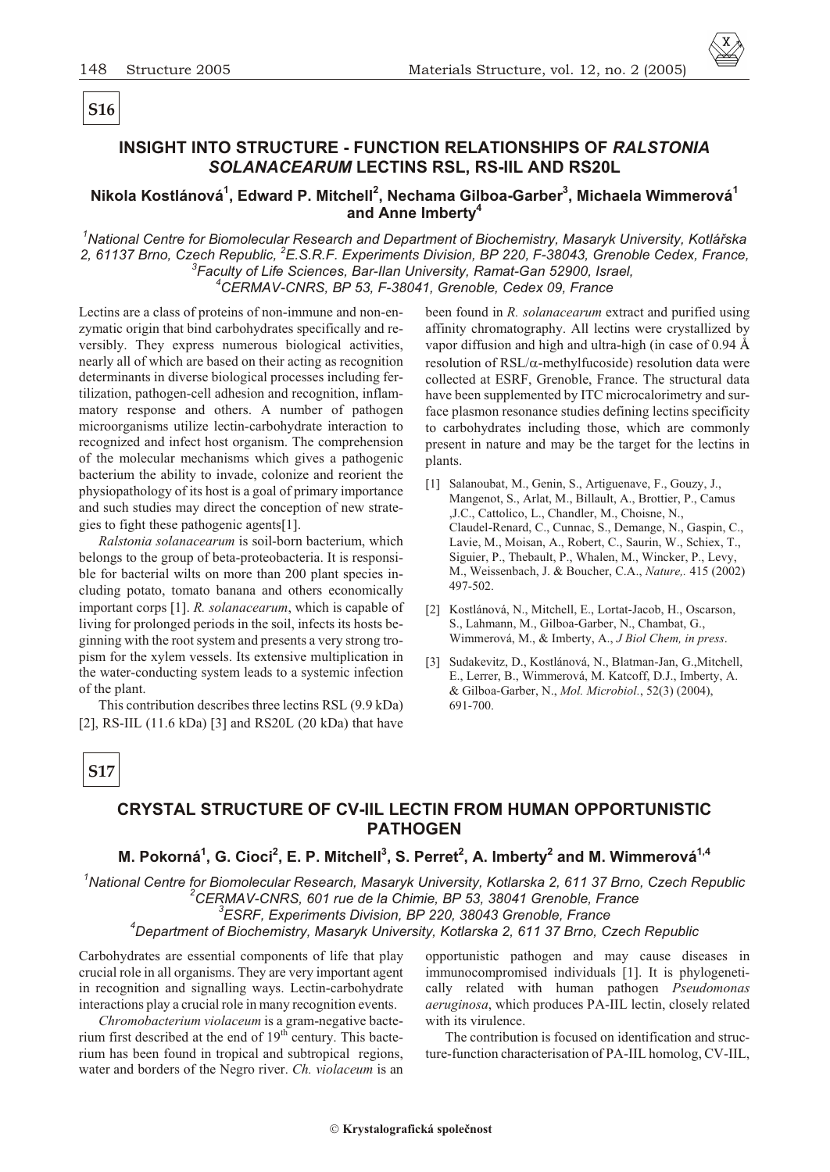# **S16**

# **INSIGHT INTO STRUCTURE - FUNCTION RELATIONSHIPS OF** *RALSTONIA SOLANACEARUM* **LECTINS RSL, RS-IIL AND RS20L**

### **Nikola Kostlánová<sup>1</sup> , Edward P. Mitchell<sup>2</sup> , Nechama Gilboa-Garber<sup>3</sup> , Michaela Wimmerová<sup>1</sup> and Anne Imberty<sup>4</sup>**

<sup>1</sup>National Centre for Biomolecular Research and Department of Biochemistry, Masaryk University, Kotlářska *2, 61137 Brno, Czech Republic, <sup>2</sup>E.S.R.F. Experiments Division, BP 220, F-38043, Grenoble Cedex, France, 3 Faculty of Life Sciences, Bar-Ilan University, Ramat-Gan 52900, Israel, <sup>4</sup>CERMAV-CNRS, BP 53, F-38041, Grenoble, Cedex 09, France*

Lectins are a class of proteins of non-immune and non-enzymatic origin that bind carbohydrates specifically and reversibly. They express numerous biological activities, nearly all of which are based on their acting as recognition determinants in diverse biological processes including fertilization, pathogen-cell adhesion and recognition, inflammatory response and others. A number of pathogen microorganisms utilize lectin-carbohydrate interaction to recognized and infect host organism. The comprehension of the molecular mechanisms which gives a pathogenic bacterium the ability to invade, colonize and reorient the physiopathology of its host is a goal of primary importance and such studies may direct the conception of new strategies to fight these pathogenic agents 1.

*Ralstonia solanacearum* is soil-born bacterium, which belongs to the group of beta-proteobacteria. It is responsible for bacterial wilts on more than 200 plant species including potato, tomato banana and others economically important corps 1. *R. solanacearum*, which is capable of living for prolonged periods in the soil, infects its hosts beginning with the root system and presents a very strong tropism for the xylem vessels. Its extensive multiplication in the water-conducting system leads to a systemic infection of the plant.

This contribution describes three lectins RSL (9.9 kDa) 2 , RS-IIL (11.6 kDa) 3 and RS20L (20 kDa) that have been found in *R. solanacearum* extract and purified using affinity chromatography. All lectins were crystallized by vapor diffusion and high and ultra-high (in case of  $0.94 \text{ Å}$ ) resolution of RSL/ -methylfucoside) resolution data were collected at ESRF, Grenoble, France. The structural data have been supplemented by ITC microcalorimetry and surface plasmon resonance studies defining lectins specificity to carbohydrates including those, which are commonly present in nature and may be the target for the lectins in plants.

- 1 Salanoubat, M., Genin, S., Artiguenave, F., Gouzy, J., Mangenot, S., Arlat, M., Billault, A., Brottier, P., Camus ,J.C., Cattolico, L., Chandler, M., Choisne, N., Claudel-Renard, C., Cunnac, S., Demange, N., Gaspin, C., Lavie, M., Moisan, A., Robert, C., Saurin, W., Schiex, T., Siguier, P., Thebault, P., Whalen, M., Wincker, P., Levy, M., Weissenbach, J. & Boucher, C.A., *Na ture,.* 415 (2002) 497-502.
- 2 Kostlánová, N., Mitchell, E., Lortat-Jacob, H., Oscarson, S., Lahmann, M., Gilboa-Garber, N., Chambat, G., Wimmerová, M., & Imberty, A., *J Biol Chem, in press*.
- 3 Sudakevitz, D., Kostlánová, N., Blatman-Jan, G., Mitchell, E., Lerrer, B., Wimmerová, M. Katcoff, D.J., Imberty, A. & Gilboa-Garber, N., *Mol. Microbiol.*, 52(3) (2004), 691-700.

# **S17**

# **CRYSTAL STRUCTURE OF CV-IIL LECTIN FROM HUMAN OPPORTUNISTIC PATHOGEN**

## **M. Pokorná<sup>1</sup> , G. Cioci<sup>2</sup> , E. P. Mitchell<sup>3</sup> , S. Perret<sup>2</sup> , A. Imberty<sup>2</sup> and M. Wimmerová1,4**

*1 National Centre for Biomolecular Research, Masaryk University, Kotlarska 2, 611 37 Brno, Czech Republic 2 CERMAV-CNRS, 601 rue de la Chimie, BP 53, 38041 Grenoble, France* <sup>3</sup> ESRF, Experiments Division, BP 220, 38043 Grenoble, France <sup>4</sup>Department of Biochemistry, Masaryk University, Kotlarska 2, 611 37 Brno, Czech Republic

Carbohydrates are essential components of life that play crucial role in all organisms. They are very important agent in recognition and signalling ways. Lectin-carbohydrate interactions play a crucial role in many recognition events.

*Chromobacterium violaceum* is a gram-negative bacterium first described at the end of  $19<sup>th</sup>$  century. This bacterium has been found in tropical and subtropical regions, water and borders of the Negro river. *Ch. violaceum* is an

opportunistic pathogen and may cause diseases in immunocompromised individuals [1]. It is phylogenetically related with human pathogen *Pseudomonas aeruginosa*, which produces PA-IIL lectin, closely related with its virulence.

The contribution is focused on identification and structure-function characterisation of PA-IIL homolog, CV-IIL,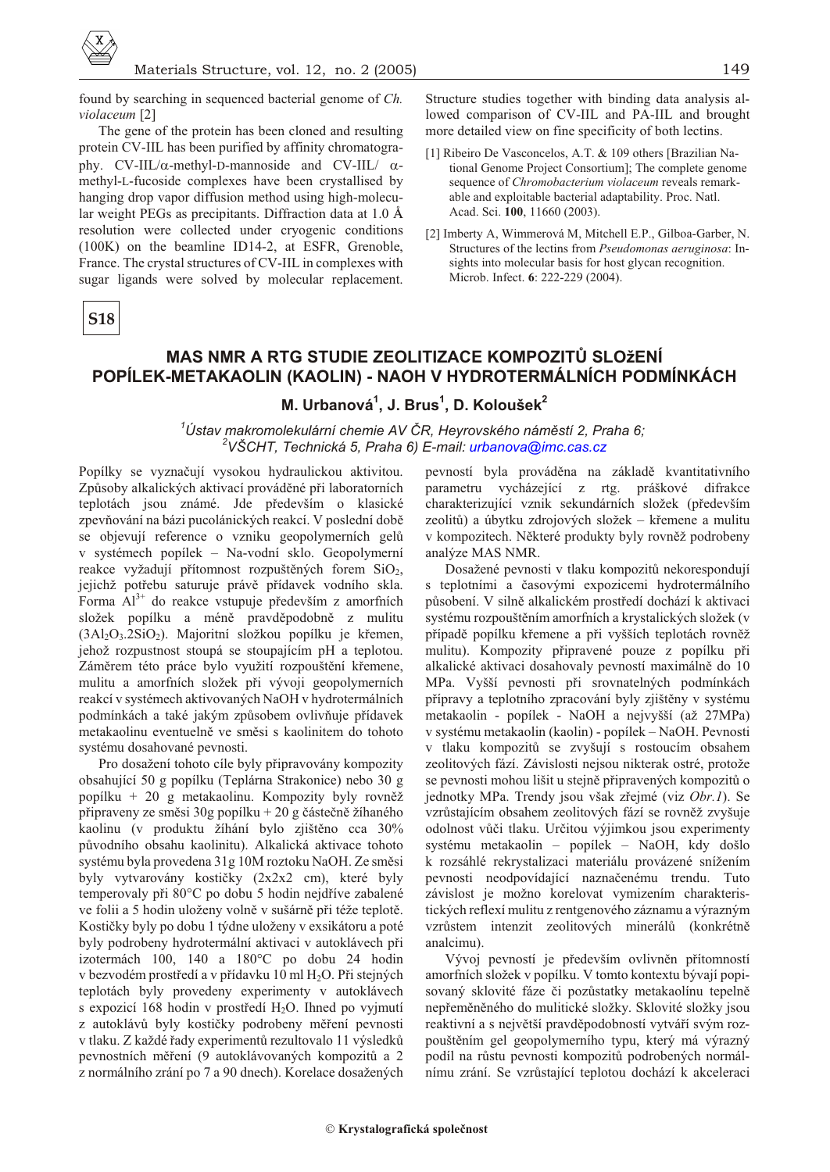

149

found by searching in sequenced bacterial genome of Ch. violaceum<sup>[2]</sup>

The gene of the protein has been cloned and resulting protein CV-IIL has been purified by affinity chromatography. CV-IIL/ -methyl-D-mannoside and CV-IIL/ methyl-L-fucoside complexes have been crystallised by hanging drop vapor diffusion method using high-molecular weight PEGs as precipitants. Diffraction data at 1.0 Å resolution were collected under cryogenic conditions (100K) on the beamline ID14-2, at ESFR, Grenoble, France. The crystal structures of CV-IIL in complexes with sugar ligands were solved by molecular replacement.

**S18** 

# MAS NMR A RTG STUDIE ZEOLITIZACE KOMPOZITŮ SLOŽENÍ POPÍLEK-METAKAOLIN (KAOLIN) - NAOH V HYDROTERMÁLNÍCH PODMÍNKÁCH

# M. Urbanová<sup>1</sup>, J. Brus<sup>1</sup>, D. Koloušek<sup>2</sup>

<sup>1</sup>Ústav makromolekulární chemie AV ČR, Heyrovského náměstí 2, Praha 6; <sup>2</sup>VŠCHT, Technická 5, Praha 6) E-mail: urbanova@imc.cas.cz

Popílky se vyznačují vysokou hydraulickou aktivitou. Způsoby alkalických aktivací prováděné při laboratorních teplotách jsou známé. Jde především o klasické zpevňování na bázi pucolánických reakcí. V poslední době se objevují reference o vzniku geopolymerních gelů v systémech popílek – Na-vodní sklo. Geopolymerní reakce vyžadují přítomnost rozpuštěných forem SiO2, jejichž potřebu saturuje právě přídavek vodního skla. Forma  $Al^{3+}$  do reakce vstupuje především z amorfních složek popílku a méně pravděpodobně z mulitu  $(3Al_2O_3.2SiO_2)$ . Majoritní složkou popílku je křemen, jehož rozpustnost stoupá se stoupajícím pH a teplotou. Záměrem této práce bylo využití rozpouštění křemene, mulitu a amorfních složek při vývoji geopolymerních reakcí v systémech aktivovaných NaOH v hydrotermálních podmínkách a také jakým způsobem ovlivňuje přídavek metakaolinu eventuelně ve směsi s kaolinitem do tohoto systému dosahované pevnosti.

Pro dosažení tohoto cíle byly připravovány kompozity obsahující 50 g popílku (Teplárna Strakonice) nebo 30 g popílku + 20 g metakaolinu. Kompozity byly rovněž připraveny ze směsi 30<br/>g popílku $+$  20 g částečně žíhaného kaolinu (v produktu žíhání bylo zjištěno cca 30% původního obsahu kaolinitu). Alkalická aktivace tohoto systému byla provedena 31g 10M roztoku NaOH. Ze směsi byly vytvarovány kostičky (2x2x2 cm), které byly temperovaly při 80°C po dobu 5 hodin nejdříve zabalené ve folii a 5 hodin uloženy volně v sušárně při téže teplotě. Kostičky byly po dobu 1 týdne uloženy v exsikátoru a poté byly podrobeny hydrotermální aktivaci v autoklávech při izotermách 100, 140 a 180°C po dobu 24 hodin v bezvodém prostředí a v přídavku 10 ml H<sub>2</sub>O. Při stejných teplotách byly provedeny experimenty v autoklávech s expozicí 168 hodin v prostředí H<sub>2</sub>O. Ihned po vyjmutí z autoklávů byly kostičky podrobeny měření pevnosti v tlaku. Z každé řady experimentů rezultovalo 11 výsledků pevnostních měření (9 autoklávovaných kompozitů a 2 z normálního zrání po 7 a 90 dnech). Korelace dosažených

pevností byla prováděna na základě kvantitativního parametru vycházející z rtg. práškové difrakce charakterizující vznik sekundárních složek (především zeolitů) a úbytku zdrojových složek – křemene a mulitu v kompozitech. Některé produkty byly rovněž podrobeny analýze MAS NMR.

Structure studies together with binding data analysis al-

lowed comparison of CV-IIL and PA-IIL and brought

[1] Ribeiro De Vasconcelos, A.T. & 109 others [Brazilian Na-

able and exploitable bacterial adaptability. Proc. Natl.

[2] Imberty A, Wimmerová M, Mitchell E.P., Gilboa-Garber, N.

sights into molecular basis for host glycan recognition.

Structures of the lectins from Pseudomonas aeruginosa: In-

Acad. Sci. 100, 11660 (2003).

Microb. Infect. 6: 222-229 (2004).

tional Genome Project Consortium]; The complete genome

sequence of Chromobacterium violaceum reveals remark-

more detailed view on fine specificity of both lectins.

Dosažené pevnosti v tlaku kompozitů nekorespondují s teplotními a časovými expozicemi hydrotermálního působení. V silně alkalickém prostředí dochází k aktivaci systému rozpouštěním amorfních a krystalických složek (v případě popílku křemene a při vyšších teplotách rovněž mulitu). Kompozity připravené pouze z popílku při alkalické aktivaci dosahovaly pevností maximálně do 10 MPa. Vyšší pevnosti při srovnatelných podmínkách přípravy a teplotního zpracování byly zjištěny v systému metakaolin - popílek - NaOH a nejvyšší (až 27MPa) v systému metakaolin (kaolin) - popílek - NaOH. Pevnosti v tlaku kompozitů se zvyšují s rostoucím obsahem zeolitových fází. Závislosti nejsou nikterak ostré, protože se pevnosti mohou lišit u stejně připravených kompozitů o jednotky MPa. Trendy jsou však zřejmé (viz Obr.1). Se vzrůstajícím obsahem zeolitových fází se rovněž zvyšuje odolnost vůči tlaku. Určitou výjimkou jsou experimenty systému metakaolin – popílek – NaOH, kdy došlo k rozsáhlé rekrystalizaci materiálu provázené snížením pevnosti neodpovídající naznačenému trendu. Tuto závislost je možno korelovat vymizením charakteristických reflexí mulitu z rentgenového záznamu a výrazným vzrůstem intenzit zeolitových minerálů (konkrétně analcimu).

Vývoj pevností je především ovlivněn přítomností amorfních složek v popílku. V tomto kontextu bývají popisovaný sklovité fáze či pozůstatky metakaolínu tepelně nepřeměněného do mulitické složky. Sklovité složky jsou reaktivní a s největší pravděpodobností vytváří svým rozpouštěním gel geopolymerního typu, který má výrazný podíl na růstu pevnosti kompozitů podrobených normálnímu zrání. Se vzrůstající teplotou dochází k akceleraci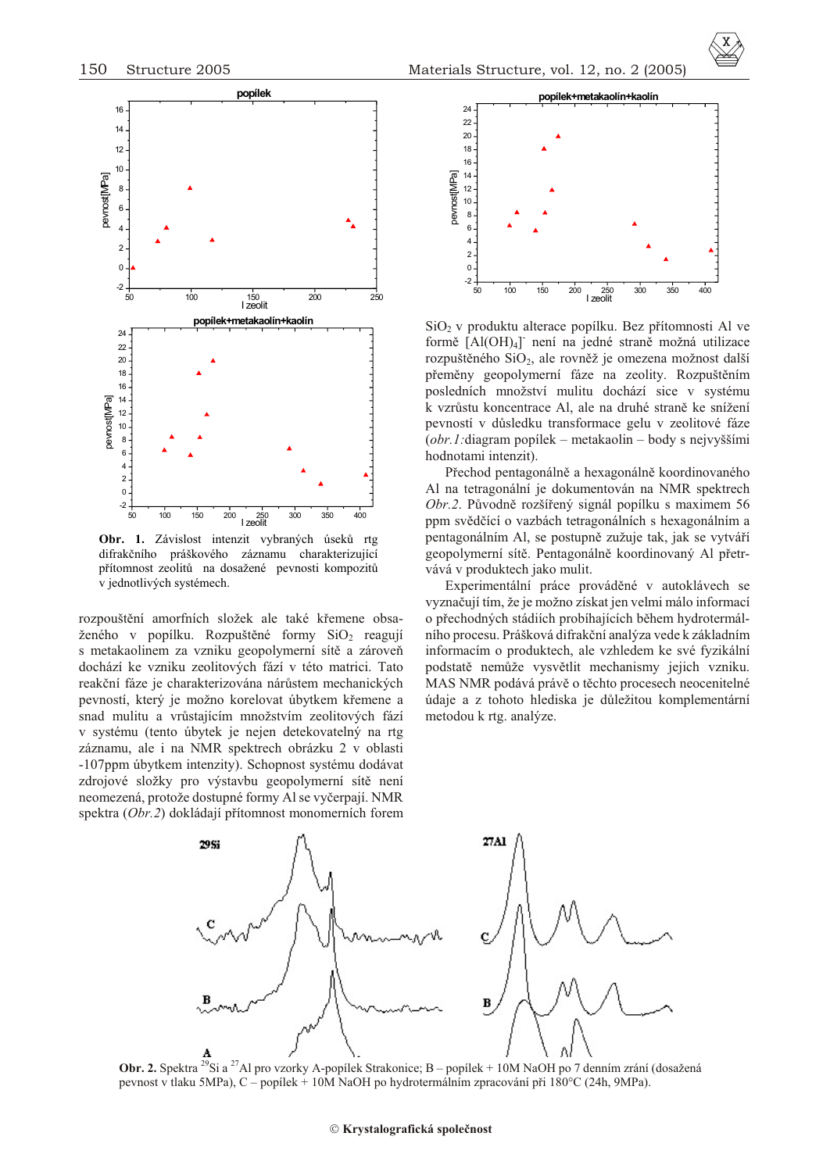

**Obr. 1.** Závislost intenzit vybraných úsekù rtg difrakèního práškového záznamu charakterizující přítomnost zeolitů na dosažené pevnosti kompozitů v jednotlivých systémech.

rozpouštění amorfních složek ale také křemene obsaženého v popílku. Rozpuštěné formy  $SiO<sub>2</sub>$  reagují s metakaolinem za vzniku geopolymerní sítě a zároveň dochází ke vzniku zeolitových fází v této matrici. Tato reakční fáze je charakterizována nárůstem mechanických pevností, který je možno korelovat úbytkem křemene a snad mulitu a vrůstajícím množstvím zeolitových fází v systému (tento úbytek je nejen dete kovatelný na rtg záznamu, ale i na NMR spektrech obrázku 2 v oblasti -107ppm úbytkem intenzity). Schopnost systému dodávat zdrojové složky pro výstavbu geopolymerní sítě není neomezená, protože dostupné formy Al se vyèerpají. NMR spektra (Obr.2) dokládají přítomnost monomerních forem



SiO<sub>2</sub> v produktu alterace popílku. Bez přítomnosti Al ve formě [Al(OH)<sub>4</sub>] není na jedné straně možná utilizace rozpuštěného  $SiO<sub>2</sub>$ , ale rovněž je omezena možnost další přeměny geopolymerní fáze na zeolity. Rozpuštěním posledních množství mulitu dochází sice v systému k vzrůstu koncentrace Al, ale na druhé straně ke snížení pevností v dùsledku transformace gelu v zeolitové fáze (*obr.1:*di a gram popílek – metakaolin – body s nejvyššími hodnotami intenzit).

Přechod pentagonálně a hexagonálně koordinovaného Al na tetragonální je dokumentován na NMR spektrech Obr.2. Původně rozšířený signál popílku s maximem 56 ppm svědčící o vazbách tetragonálních s hexagonálním a pentagonálním Al, se postupně zužuje tak, jak se vytváří geopolymerní sítě. Pentagonálně koordinovaný Al přetrvává v produktech jako mulit.

Experimentální práce prováděné v autoklávech se vyzna èují tím, že je možno získat jen velmi málo informací o přechodných stádiích probíhajících během hydrotermálního procesu. Prášková difrakèní analýza vede k základním informacím o produktech, ale vzhledem ke své fyzikální podstatě nemůže vysvětlit mechanismy jejich vzniku. MAS NMR podává právě o těchto procesech neocenitelné údaje a z tohoto hlediska je dùležitou komplementární metodou k rtg. analýze.



**Obr. 2.** Spektra <sup>29</sup>Si a <sup>27</sup>Al pro vzorky A-popílek Strakonice; B – popílek + 10M NaOH po 7 denním zrání (dosažená pevnost v tlaku 5MPa), C – popílek + 10M NaOH po hydrotermálním zpracování pøi 180°C (24h, 9MPa).

#### **Krystalografická spoleènost**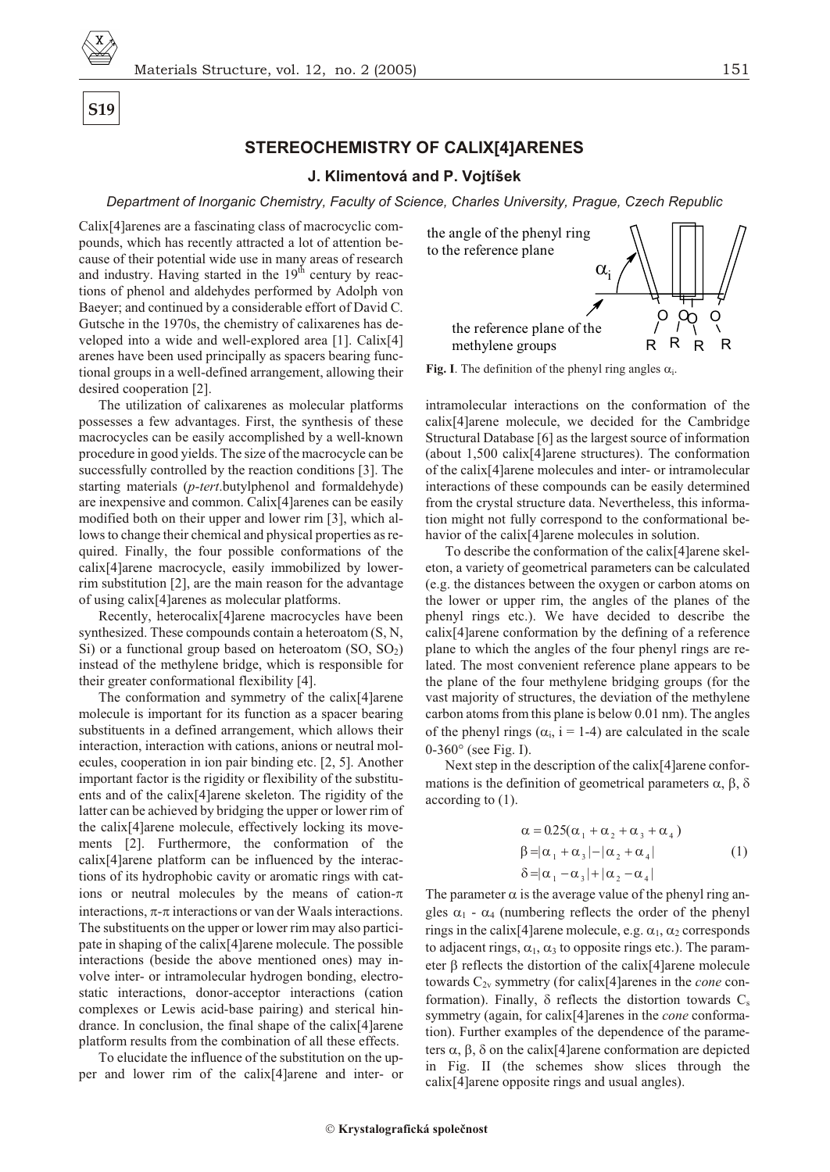**S19**

### **STEREOCHEMISTRY OF CALIX[4]ARENES**

#### **J. Klimentová and P. Vojtíšek**

*Department of Inorganic Chemistry, Faculty of Science, Charles University, Prague, Czech Republic* 

Calix<sup>[4]</sup> arenes are a fascinating class of macrocyclic compounds, which has recently attracted a lot of attention because of their potential wide use in many areas of research and industry. Having started in the  $19<sup>th</sup>$  century by reactions of phenol and aldehydes performed by Adolph von Baeyer; and continued by a considerable effort of David C. Gutsche in the 1970s, the chemistry of calixarenes has developed into a wide and well-explored area [1]. Calix[4] arenes have been used principally as spacers bearing functional groups in a well-defined arrangement, allowing their desired cooperation [2].

The utilization of calixarenes as molecular platforms possesses a few advantages. First, the synthesis of these macrocycles can be easily accomplished by a well-known procedure in good yields. The size of the macrocycle can be successfully controlled by the reaction conditions [3]. The starting materials (*p-tert*.butylphenol and formal dehyde) are in expensive and common. Calix[4] arenes can be easily modified both on their upper and lower rim [3], which allows to change their chemical and physical properties as required. Finally, the four possible conformations of the calix[4]arene macrocycle, easily immobilized by lowerrim substitution  $[2]$ , are the main reason for the advantage of using calix[4]arenes as molecular platforms.

Recently, heterocalix<sup>[4]</sup>arene macrocycles have been synthesized. These compounds contain a heteroatom  $(S, N, \mathcal{S})$ Si) or a functional group based on heteroatom  $(SO, SO<sub>2</sub>)$ instead of the methylene bridge, which is responsible for their greater conformational flexibility [4].

The conformation and symmetry of the calix[4]arene molecule is important for its function as a spacer bearing sub stituents in a defined arrangement, which allows their interaction, interaction with cations, anions or neutral molecules, cooperation in ion pair binding etc. [2, 5]. Another important factor is the rigidity or flexibility of the substituents and of the calix[4]arene skeleton. The rigidity of the latter can be achieved by bridging the upper or lower rim of the calix<sup>[4]</sup>arene molecule, effectively locking its movements [2]. Furthermore, the conformation of the  $calix[4]$ arene platform can be influenced by the interactions of its hydrophobic cavity or aromatic rings with cations or neutral molecules by the means of cationinteractions, - interactions or van der Waals interactions. The substituents on the upper or lower rim may also participate in shaping of the calix $[4]$ arene molecule. The possible interactions (beside the above mentioned ones) may involve inter- or intramolecular hydrogen bonding, electrostatic interactions, donor-acceptor interactions (cation complexes or Lewis acid-base pairing) and sterical hindrance. In conclusion, the final shape of the calix $[4]$ arene platform results from the combination of all these effects.

To elucidate the influence of the substitution on the upper and lower rim of the calix[4]arene and inter- or



**Fig. I**. The definition of the phenyl ring angles i.

intramolecular interactions on the conformation of the calix<sup>[4]</sup>arene molecule, we decided for the Cambridge Structural Database [6] as the largest source of information (about  $1,500$  calix[4]arene structures). The conformation of the calix<sup>[4]</sup>arene molecules and inter- or intramolecular interactions of these compounds can be easily determined from the crystal structure data. Nevertheless, this information might not fully correspond to the conformational behavior of the calix<sup>[4]</sup>arene molecules in solution.

To describe the conformation of the calix[4]arene skeleton, a variety of geometrical parameters can be calculated (e.g. the distances between the oxygen or carbon atoms on the lower or upper rim, the angles of the planes of the phenyl rings etc.). We have decided to describe the  $calix[4]$ arene conformation by the defining of a reference plane to which the angles of the four phenyl rings are related. The most convenient reference plane appears to be the plane of the four methylene bridging groups (for the vast majority of structures, the deviation of the methylene carbon atoms from this plane is below  $0.01$  nm). The angles of the phenyl rings ( $\,$ i, i = 1-4) are calculated in the scale 0-360 (see Fig. I).

Next step in the description of the calix $[4]$ arene conformations is the definition of geometrical parameters  $\,$ ,  $\,$ , according to  $(1)$ .

$$
0.25\left(\begin{array}{ccccc|c}\n1 & 2 & 3 & 4\n\end{array}\right)
$$
\n
$$
\begin{array}{c|c}\n1 & 3 & 2 & 4\n\end{array}
$$
\n
$$
\begin{array}{c|c}\n1 & 3 & 2 & 4\n\end{array}
$$
\n(1)

The parameter is the average value of the phenyl ring angles  $_1$  -  $_4$  (numbering reflects the order of the phenyl rings in the calix[4]arene molecule, e.g.  $_{1}$ ,  $_{2}$  corresponds to adjacent rings,  $\frac{1}{1}$ ,  $\frac{3}{1}$  to opposite rings etc.). The parameter reflects the distortion of the calix[4]arene molecule towards  $C_{2v}$  symmetry (for calix[4]arenes in the *cone* conformation). Finally, reflects the distortion towards  $C_s$ symmetry (again, for calix<sup>[4]</sup>arenes in the *cone* conformation). Further examples of the dependence of the parameters, , on the calix [4] arene conformation are depicted in Fig. II (the schemes show slices through the calix[4]arene opposite rings and usual angles).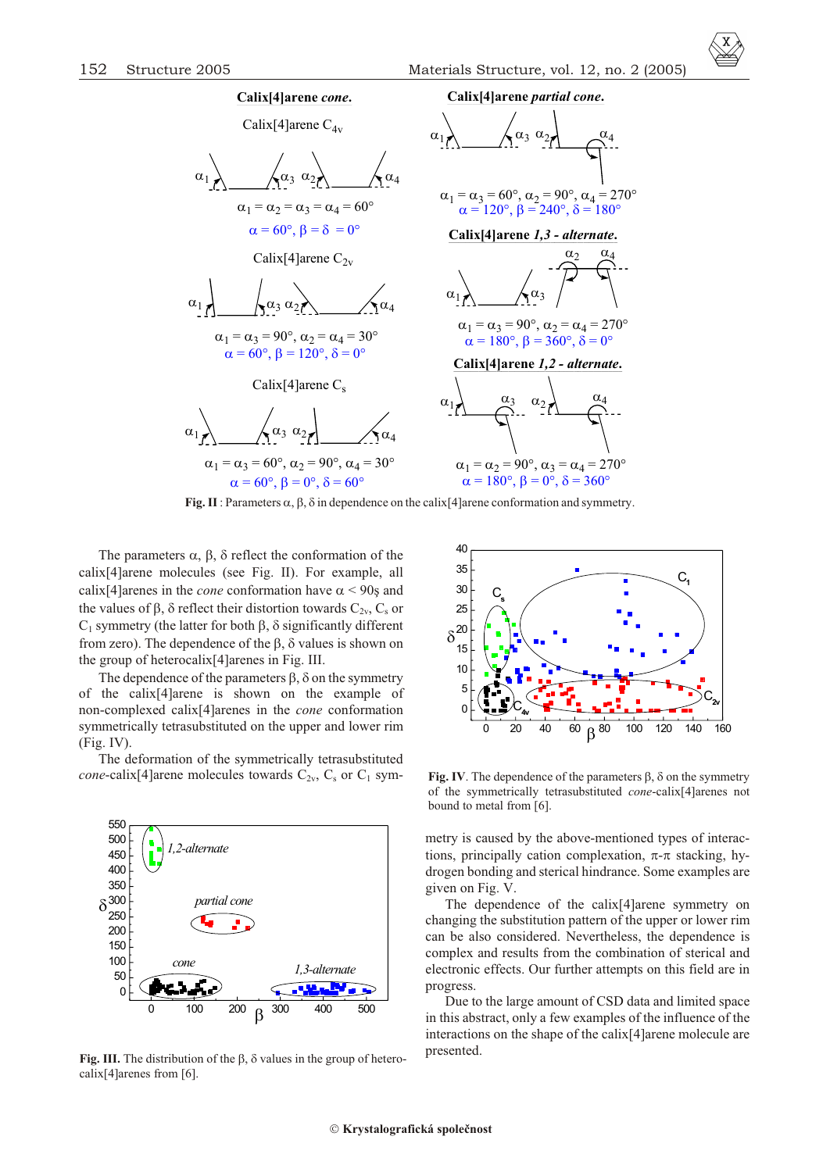

**Fig. II**: Parameters , , in dependence on the calix [4] arene conformation and symmetry.

The parameters  $, ,$  reflect the conformation of the  $calix[4]$ arene molecules (see Fig. II) For example, all  $\text{calix}[4]$ arenes in the *cone* conformation have < 90s and the values of, reflect their distortion towards  $C_{2v}$ ,  $C_s$  or  $C_1$  symmetry (the latter for both , significantly different from zero). The dependence of the , values is shown on the group of heterocalix[4]arenes in Fig. III.

The dependence of the parameters, on the symmetry of the calix[4]arene is shown on the example of non-complexed calix<sup>[4]</sup>arenes in the *cone* conformation symmetrically tetrasubstituted on the upper and lower rim (Fig. IV).

The deformation of the symmetrically tetrasubstituted *cone*-calix[4] arene molecules towards  $C_{2v}$ ,  $C_s$  or  $C_1$  sym-



**Fig. III.** The distribution of the , values in the group of heterocalix[4]arenes from [6].



**Fig. IV**. The dependence of the parameters , on the symmetry of the symmetrically tetrasubstituted *cone*-calix<sup>[4]</sup>arenes not bound to metal from [6].

metry is caused by the above-mentioned types of interactions, principally cation complexation, - stacking, hydrogen bonding and sterical hindrance. Some examples are given on Fig. V.

The dependence of the calix $[4]$ arene symmetry on changing the substitution pattern of the upper or lower rim can be also considered. Nevertheless, the dependence is complex and results from the combination of sterical and electronic effects. Our further attempts on this field are in progress.

Due to the large amount of CSD data and limited space in this ab stract, only a few examples of the influence of the interactions on the shape of the calix $[4]$ arene molecule are presented.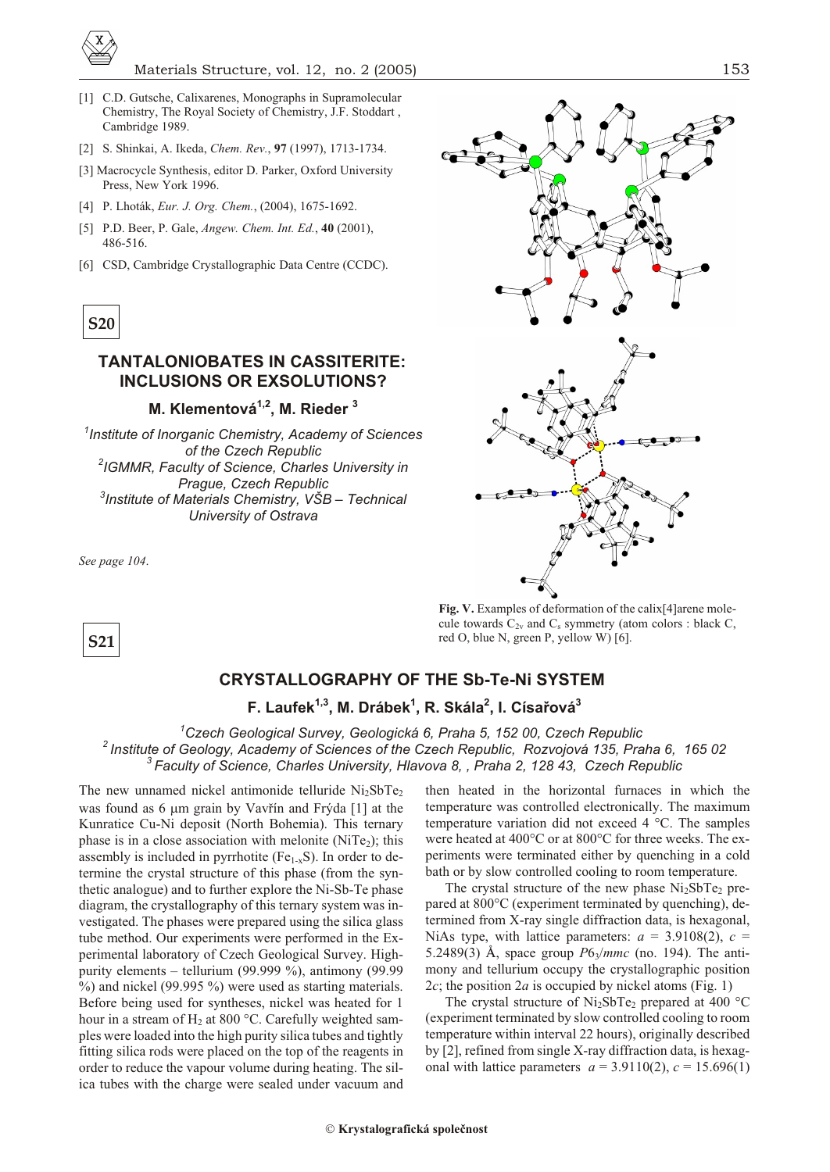

- [1] C.D. Gutsche, Calixarenes, Monographs in Supramolecular Chemistry, The Royal Society of Chemistry, J.F. Stoddart, Cambridge 1989.
- [2] S. Shinkai, A. Ikeda, *Chem. Rev.*, **97** (1997), 1713-1734.
- [3] Macrocycle Synthesis, editor D. Parker, Oxford University Press, New York 1996.
- [4] P. Lhoták, *Eur. J. Org. Chem.*, (2004), 1675-1692.
- [5] P.D. Beer, P. Gale, *Angew. Chem. Int. Ed.*, **40** (2001), 486-516.
- [6] CSD, Cambridge Crystallographic Data Centre (CCDC).



## **TANTALONIOBATES IN CASSITERITE: INCLUSIONS OR EXSOLUTIONS?**

### **M. Klementová1,2, M. Rieder <sup>3</sup>**

<sup>1</sup> Institute of Inorganic Chemistry, Academy of Sciences *of the Czech Republic 2 IGMMR, Fac ulty of Sci ence, Charles Uni ver sity in* **Prague, Czech Republic** *3 In sti tute of Ma te ri als Chem is try, VŠB – Tech ni cal Uni ver sity of Ostrava*

*See page 104*.

**S21**



Fig. V. Examples of deformation of the calix<sup>[4]</sup>arene molecule towards  $C_{2v}$  and  $C_s$  symmetry (atom colors : black C, red O, blue N, green P, yellow W) [6].

# **CRYSTALLOGRAPHY OF THE Sb-Te-Ni SYSTEM**

## **F. Laufek1,3, M. Drábek<sup>1</sup> , R. Skála<sup>2</sup> , I. Císaøová<sup>3</sup>**

*<sup>1</sup>Czech Geological Survey, Geologická 6, Praha 5, 152 00, Czech Republic <sup>2</sup>Institute of Geology, Academy of Sciences of the Czech Republic, Rozvojová 135, Praha 6, 165 02* <sup>3</sup> Faculty of Science, Charles University, Hlavova 8, , Praha 2, 128 43, Czech Republic

The new unnamed nickel antimonide telluride  $Ni<sub>2</sub>SbTe<sub>2</sub>$ was found as  $6 \text{ m}$  grain by Vavřín and Frýda [1] at the Kunratice Cu-Ni deposit (North Bohemia). This ternary phase is in a close association with melonite (NiTe<sub>2</sub>); this assembly is included in pyrrhotite ( $Fe<sub>1-x</sub>S$ ). In order to determine the crystal structure of this phase (from the synthetic analogue) and to further explore the Ni-Sb-Te phase diagram, the crystallography of this ternary system was investigated. The phases were prepared using the silica glass tube method. Our experiments were performed in the Experimental laboratory of Czech Geological Survey. Highpurity elements – tellurium (99.999 %), antimony (99.99  $%$ ) and nickel (99.995 %) were used as starting materials. Before being used for syntheses, nickel was heated for 1 hour in a stream of  $H_2$  at 800 °C. Carefully weighted samples were loaded into the high purity silica tubes and tightly fitting silica rods were placed on the top of the reagents in order to reduce the vapour volume during heating. The silica tubes with the charge were sealed under vacuum and

then heated in the horizontal furnaces in which the tem perature was controlled electronically. The maximum temperature variation did not exceed 4  $^{\circ}$ C. The samples were heated at 400°C or at 800°C for three weeks. The experiments were terminated either by quenching in a cold bath or by slow controlled cooling to room temperature.

The crystal structure of the new phase  $Ni<sub>2</sub>SbTe<sub>2</sub>$  prepared at 800°C (experiment terminated by quenching), determined from X-ray single diffraction data, is hexagonal, NiAs type, with lattice parameters:  $a = 3.9108(2)$ ,  $c =$ 5.2489(3) Å, space group  $P6_3/mmc$  (no. 194). The antimony and tellurium occupy the crystallographic position 2 $c$ ; the position 2 $a$  is occupied by nickel atoms (Fig. 1)

The crystal structure of  $Ni<sub>2</sub>SbTe<sub>2</sub>$  prepared at 400 °C (experiment terminated by slow controlled cooling to room temperature within interval 22 hours), originally described by  $[2]$ , refined from single X-ray diffraction data, is hexagonal with lattice parameters  $a = 3.9110(2)$ ,  $c = 15.696(1)$